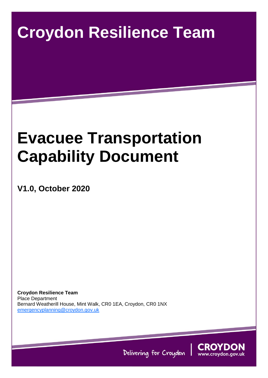# **Croydon Resilience Team**

# **Evacuee Transportation Capability Document**

**V1.0, October 2020**

**Croydon Resilience Team** Place Department Bernard Weatherill House, Mint Walk, CR0 1EA, Croydon, CR0 1NX [emergencyplanning@croydon.gov.uk](mailto:emergencyplanning@croydon.gov.uk)



Delivering for Croydon

Croydon Council Evacuee Transportation Capability Document Page 1 of 8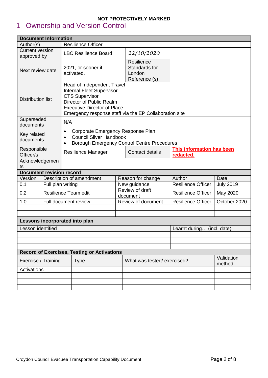# <span id="page-1-0"></span>1 Ownership and Version Control

| <b>Document Information</b>                        |                             |                                                                                                                                                                                                                     |                                |                            |                                       |                                        |                      |  |  |
|----------------------------------------------------|-----------------------------|---------------------------------------------------------------------------------------------------------------------------------------------------------------------------------------------------------------------|--------------------------------|----------------------------|---------------------------------------|----------------------------------------|----------------------|--|--|
| <b>Resilience Officer</b><br>Author(s)             |                             |                                                                                                                                                                                                                     |                                |                            |                                       |                                        |                      |  |  |
| <b>Current version</b>                             |                             | <b>LBC Resilience Board</b>                                                                                                                                                                                         |                                |                            | 22/10/2020                            |                                        |                      |  |  |
| approved by                                        |                             |                                                                                                                                                                                                                     |                                |                            |                                       |                                        |                      |  |  |
| Next review date                                   |                             | 2021, or sooner if<br>activated.                                                                                                                                                                                    |                                |                            | Resilience<br>Standards for<br>London |                                        |                      |  |  |
|                                                    |                             |                                                                                                                                                                                                                     |                                |                            | Reference (s)                         |                                        |                      |  |  |
| <b>Distribution list</b>                           |                             | Head of Independent Travel<br><b>Internal Fleet Supervisor</b><br><b>CTS Supervisor</b><br>Director of Public Realm<br><b>Executive Director of Place</b><br>Emergency response staff via the EP Collaboration site |                                |                            |                                       |                                        |                      |  |  |
| Superseded<br>documents                            |                             | N/A                                                                                                                                                                                                                 |                                |                            |                                       |                                        |                      |  |  |
| Key related                                        |                             | Corporate Emergency Response Plan<br>$\bullet$<br><b>Council Silver Handbook</b>                                                                                                                                    |                                |                            |                                       |                                        |                      |  |  |
| documents                                          |                             | $\bullet$<br><b>Borough Emergency Control Centre Procedures</b><br>$\bullet$                                                                                                                                        |                                |                            |                                       |                                        |                      |  |  |
| Responsible<br>Officer/s                           |                             | <b>Resilience Manager</b>                                                                                                                                                                                           |                                |                            | Contact details                       | This information has been<br>redacted. |                      |  |  |
| Acknowledgemen<br>ts                               |                             |                                                                                                                                                                                                                     |                                |                            |                                       |                                        |                      |  |  |
| <b>Document revision record</b>                    |                             |                                                                                                                                                                                                                     |                                |                            |                                       |                                        |                      |  |  |
| Version                                            |                             | Description of amendment                                                                                                                                                                                            |                                |                            | Reason for change                     | Author                                 | Date                 |  |  |
| 0.1                                                |                             | Full plan writing                                                                                                                                                                                                   |                                |                            | New guidance                          | <b>Resilience Officer</b>              | <b>July 2019</b>     |  |  |
| 0.2                                                | <b>Resilience Team edit</b> |                                                                                                                                                                                                                     |                                |                            | Review of draft<br>document           | <b>Resilience Officer</b>              | May 2020             |  |  |
| 1.0                                                |                             | Full document review                                                                                                                                                                                                |                                |                            | Review of document                    | <b>Resilience Officer</b>              | October 2020         |  |  |
|                                                    |                             |                                                                                                                                                                                                                     |                                |                            |                                       |                                        |                      |  |  |
|                                                    |                             |                                                                                                                                                                                                                     | Lessons incorporated into plan |                            |                                       |                                        |                      |  |  |
| Lesson identified                                  |                             |                                                                                                                                                                                                                     |                                |                            | Learnt during (incl. date)            |                                        |                      |  |  |
|                                                    |                             |                                                                                                                                                                                                                     |                                |                            |                                       |                                        |                      |  |  |
|                                                    |                             |                                                                                                                                                                                                                     |                                |                            |                                       |                                        |                      |  |  |
| <b>Record of Exercises, Testing or Activations</b> |                             |                                                                                                                                                                                                                     |                                |                            |                                       |                                        |                      |  |  |
| Exercise / Training<br><b>Type</b>                 |                             |                                                                                                                                                                                                                     |                                | What was tested/exercised? |                                       |                                        | Validation<br>method |  |  |
| Activations                                        |                             |                                                                                                                                                                                                                     |                                |                            |                                       |                                        |                      |  |  |
|                                                    |                             |                                                                                                                                                                                                                     |                                |                            |                                       |                                        |                      |  |  |
|                                                    |                             |                                                                                                                                                                                                                     |                                |                            |                                       |                                        |                      |  |  |
|                                                    |                             |                                                                                                                                                                                                                     |                                |                            |                                       |                                        |                      |  |  |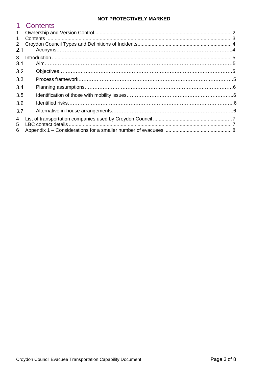<span id="page-2-0"></span>

|                | Contents |  |
|----------------|----------|--|
| $\mathbf 1$    |          |  |
| 1              |          |  |
| $\overline{2}$ |          |  |
| 2.1            |          |  |
| 3              |          |  |
| 3.1            |          |  |
| 3.2            |          |  |
| 3.3            |          |  |
| 3.4            |          |  |
| 3.5            |          |  |
| 3.6            |          |  |
| 3.7            |          |  |
| 4              |          |  |
| 5.             |          |  |
| 6              |          |  |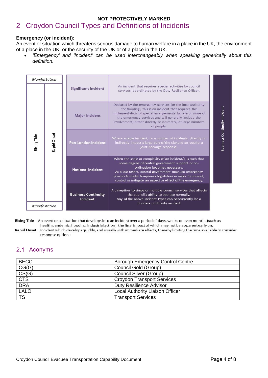# <span id="page-3-0"></span>**NOT PROTECTIVELY MARKED** 2 Croydon Council Types and Definitions of Incidents

#### **Emergency (or incident):**

An event or situation which threatens serious damage to human welfare in a place in the UK, the environment of a place in the UK, or the security of the UK or of a place in the UK.

 *'Emergency' and 'Incident' can be used interchangeably when speaking generically about this definition.*

|               | Manifestation | <b>Significant Incident</b>            | An incident that requires special activities by council<br>services, coordinated by the Duty Resilience Officer.                                                                                                                                                                                                                    |                              |
|---------------|---------------|----------------------------------------|-------------------------------------------------------------------------------------------------------------------------------------------------------------------------------------------------------------------------------------------------------------------------------------------------------------------------------------|------------------------------|
|               |               | <b>Major Incident</b>                  | Declared by the emergency services (or the local authority<br>for flooding), this is an incident that requires the<br>implementation of special arrangements by one or more of<br>the emergency services and will generally include the<br>involvement, either directly or indirectly, of large numbers<br>of people.               |                              |
| Rising Tide   | Rapid Onset   | Pan-London Incident                    | Where a large incident, or a number of incidents, directly or<br>indirectly impact a large part of the city and so require a<br>joint-borough response.                                                                                                                                                                             | Business Continuity Incident |
| Manifestation |               | <b>National Incident</b>               | When the scale or complexity of an incident/s is such that<br>some degree of central government support or co-<br>ordination becomes necessary.<br>As a last resort, central government may use emergency<br>powers to make temporary legislation in order to prevent,<br>control or mitigate an aspect or effect of the emergency. |                              |
|               |               | <b>Business Continuity</b><br>Incident | A disruption to single or multiple council services that affects<br>the council's ability to operate normally.<br>Any of the above incident types can concurrently be a<br>business continuity incident                                                                                                                             |                              |

Rising Tide - An event or a situation that develops into an incident over a period of days, weeks or even months (such as health pandemic, flooding, industrial action), the final impact of which may not be apparent early on.

Rapid Onset - Incident which develops quickly, and usually with immediate effects, thereby limiting the time available to consider response options.

# <span id="page-3-1"></span>2.1 Aconyms

| <b>BECC</b>            | <b>Borough Emergency Control Centre</b> |
|------------------------|-----------------------------------------|
| CG(G)                  | Council Gold (Group)                    |
| CS(G)                  | <b>Council Silver (Group)</b>           |
| <b>CTS</b>             | <b>Croydon Transport Services</b>       |
| <b>DRA</b>             | Duty Resilience Advisor                 |
| <b>LALO</b>            | Local Authority Liaison Officer         |
| $\overline{\text{TS}}$ | <b>Transport Services</b>               |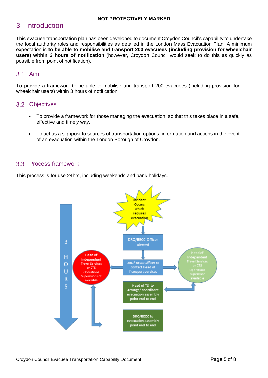# <span id="page-4-0"></span>3 Introduction

This evacuee transportation plan has been developed to document Croydon Council's capability to undertake the local authority roles and responsibilities as detailed in the London Mass Evacuation Plan. A minimum expectation is **to be able to mobilise and transport 200 evacuees (including provision for wheelchair users) within 3 hours of notification** (however, Croydon Council would seek to do this as quickly as possible from point of notification).

# <span id="page-4-1"></span>**3.1 Aim**

To provide a framework to be able to mobilise and transport 200 evacuees (including provision for wheelchair users) within 3 hours of notification.

## <span id="page-4-2"></span>3.2 Objectives

- To provide a framework for those managing the evacuation, so that this takes place in a safe, effective and timely way.
- To act as a signpost to sources of transportation options, information and actions in the event of an evacuation within the London Borough of Croydon.

## <span id="page-4-3"></span>3.3 Process framework

This process is for use 24hrs, including weekends and bank holidays.

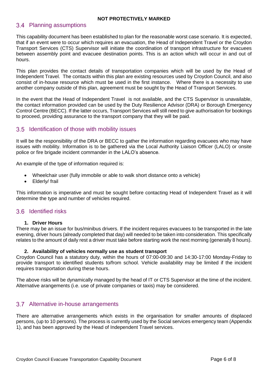### <span id="page-5-0"></span>3.4 Planning assumptions

This capability document has been established to plan for the reasonable worst case scenario. It is expected, that if an event were to occur which requires an evacuation, the Head of Independent Travel or the Croydon Transport Services (CTS) Supervisor will initiate the coordination of transport infrastructure for evacuees between assembly point and evacuee destination points. This is an action which will occur in and out of hours.

This plan provides the contact details of transportation companies which will be used by the Head of Independent Travel. The contacts within this plan are existing resources used by Croydon Council, and also consist of in-house resource which must be used in the first instance. Where there is a necessity to use another company outside of this plan, agreement must be sought by the Head of Transport Services.

In the event that the Head of Independent Travel is not available, and the CTS Supervisor is unavailable, the contact information provided can be used by the Duty Resilience Advisor (DRA) or Borough Emergency Control Centre (BECC). If the latter occurs, Transport Services will still need to give authorisation for bookings to proceed, providing assurance to the transport company that they will be paid.

## <span id="page-5-1"></span>3.5 Identification of those with mobility issues

It will be the responsibility of the DRA or BECC to gather the information regarding evacuees who may have issues with mobility. Information is to be gathered via the Local Authority Liaison Officer (LALO) or onsite police or fire brigade incident commander in the LALO's absence.

An example of the type of information required is:

- Wheelchair user (fully immobile or able to walk short distance onto a vehicle)
- Elderly/ frail

This information is imperative and must be sought before contacting Head of Independent Travel as it will determine the type and number of vehicles required.

#### <span id="page-5-2"></span>3.6 Identified risks

#### **1. Driver Hours**

There may be an issue for bus/minibus drivers. If the incident requires evacuees to be transported in the late evening, driver hours (already completed that day) will needed to be taken into consideration. This specifically relates to the amount of daily rest a driver must take before starting work the next morning (generally 8 hours).

#### **2. Availability of vehicles normally use as student transport**

Croydon Council has a statutory duty, within the hours of 07:00-09:30 and 14:30-17:00 Monday-Friday to provide transport to identified students to/from school. Vehicle availability may be limited if the incident requires transportation during these hours.

The above risks will be dynamically managed by the head of IT or CTS Supervisor at the time of the incident. Alternative arangements (i.e. use of private companies or taxis) may be considered.

### <span id="page-5-3"></span>3.7 Alternative in-house arrangements

There are alternative arrangements which exists in the organisation for smaller amounts of displaced persons, (up to 10 persons). The process is currently used by the Social services emergency team (Appendix 1), and has been approved by the Head of Independent Travel services.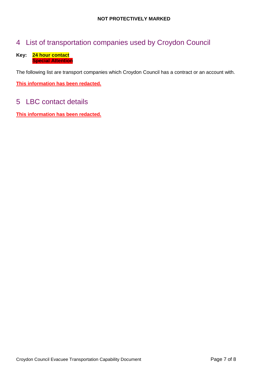# <span id="page-6-0"></span>4 List of transportation companies used by Croydon Council

#### **Key: 24 hour contact Special Attention**

The following list are transport companies which Croydon Council has a contract or an account with.

**This information has been redacted.**

# <span id="page-6-1"></span>5 LBC contact details

**This information has been redacted.**